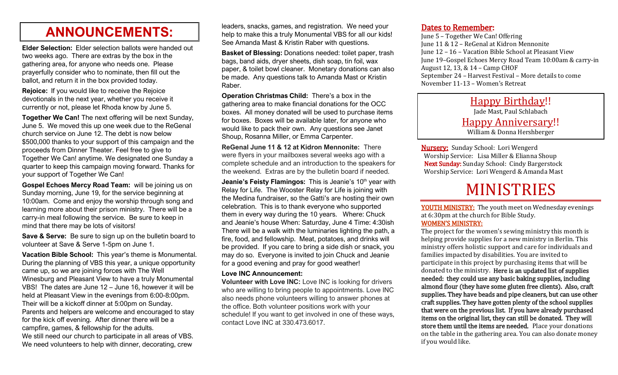# **ANNOUNCEMENTS:**

**Elder Selection:** Elder selection ballots were handed out two weeks ago. There are extras by the box in the gathering area, for anyone who needs one. Please prayerfully consider who to nominate, then fill out the ballot, and return it in the box provided today.

**Rejoice:** If you would like to receive the Rejoice devotionals in the next year, whether you receive it currently or not, please let Rhoda know by June 5.

**Together We Can!** The next offering will be next Sunday, June 5. We moved this up one week due to the ReGenal church service on June 12. The debt is now below \$500,000 thanks to your support of this campaign and the proceeds from Dinner Theater. Feel free to give to Together We Can! anytime. We designated one Sunday a quarter to keep this campaign moving forward. Thanks for your support of Together We Can!

**Gospel Echoes Mercy Road Team:** will be joining us on Sunday morning, June 19, for the service beginning at 10:00am. Come and enjoy the worship through song and learning more about their prison ministry. There will be a carry-in meal following the service. Be sure to keep in mind that there may be lots of visitors!

**Save & Serve:** Be sure to sign up on the bulletin board to volunteer at Save & Serve 1-5pm on June 1.

**Vacation Bible School:** This year's theme is Monumental. During the planning of VBS this year, a unique opportunity came up, so we are joining forces with The Well Winesburg and Pleasant View to have a truly Monumental VBS! The dates are June 12 – June 16, however it will be held at Pleasant View in the evenings from 6:00-8:00pm. Their will be a kickoff dinner at 5:00pm on Sunday. Parents and helpers are welcome and encouraged to stay for the kick off evening. After dinner there will be a campfire, games, & fellowship for the adults. We still need our church to participate in all areas of VBS. We need volunteers to help with dinner, decorating, crew

leaders, snacks, games, and registration. We need your help to make this a truly Monumental VBS for all our kids! See Amanda Mast & Kristin Raber with questions.

**Basket of Blessing:** Donations needed: toilet paper, trash bags, band aids, dryer sheets, dish soap, tin foil, wax paper, & toilet bowl cleaner. Monetary donations can also be made. Any questions talk to Amanda Mast or Kristin Raber.

**Operation Christmas Child:** There's a box in the gathering area to make financial donations for the OCC boxes. All money donated will be used to purchase items for boxes. Boxes will be available later, for anyone who would like to pack their own. Any questions see Janet Shoup, Rosanna Miller, or Emma Carpenter.

**ReGenal June 11 & 12 at Kidron Mennonite:** There were flyers in your mailboxes several weeks ago with a complete schedule and an introduction to the speakers for the weekend. Extras are by the bulletin board if needed.

**Jeanie's Feisty Flamingos:** This is Jeanie's 10<sup>th</sup> year with Relay for Life. The Wooster Relay for Life is joining with the Medina fundraiser, so the Gatti's are hosting their own celebration. This is to thank everyone who supported them in every way during the 10 years. Where: Chuck and Jeanie's house When: Saturday, June 4 Time: 4:30ish There will be a walk with the luminaries lighting the path, a fire, food, and fellowship. Meat, potatoes, and drinks will be provided. If you care to bring a side dish or snack, you may do so. Everyone is invited to join Chuck and Jeanie for a good evening and pray for good weather!

#### **Love INC Announcement:**

**Volunteer with Love INC:** Love INC is looking for drivers who are willing to bring people to appointments. Love INC also needs phone volunteers willing to answer phones at the office. Both volunteer positions work with your schedule! If you want to get involved in one of these ways, contact Love INC at 330.473.6017.

### Dates to Remember:

June 5 – Together We Can! Offering June 11 & 12 – ReGenal at Kidron Mennonite June 12 – 16 – Vacation Bible School at Pleasant View June 19–Gospel Echoes Mercy Road Team 10:00am & carry-in August 12, 13, & 14 – Camp CHOF September 24 – Harvest Festival – More details to come November 11-13 – Women's Retreat

> Happy Birthday!! Jade Mast, Paul Schlabach Happy Anniversary!! William & Donna Hershberger

Nursery: Sunday School: Lori Wengerd Worship Service: Lisa Miller & Elianna Shoup Next Sunday: Sunday School: Cindy Bargerstock Worship Service: Lori Wengerd & Amanda Mast

# MINISTRIES

YOUTH MINISTRY: The youth meet on Wednesday evenings at 6:30pm at the church for Bible Study. WOMEN'S MINISTRY:

The project for the women's sewing ministry this month is helping provide supplies for a new ministry in Berlin. This ministry offers holistic support and care for individuals and families impacted by disabilities. You are invited to participate in this project by purchasing items that will be donated to the ministry. Here is an updated list of supplies needed: they could use any basic baking supplies, including almond flour (they have some gluten free clients). Also, craft supplies. They have beads and pipe cleaners, but can use other craft supplies. They have gotten plenty of the school supplies that were on the previous list. If you have already purchased items on the original list, they can still be donated. They will store them until the items are needed. Place your donations on the table in the gathering area. You can also donate money if you would like.